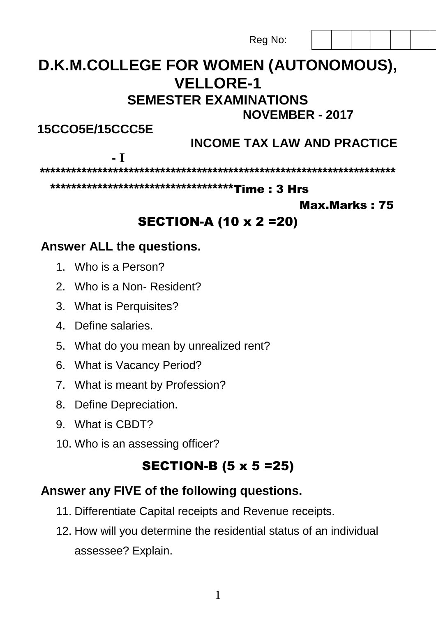Reg No:

# **D.K.M.COLLEGE FOR WOMEN (AUTONOMOUS), VELLORE-1 SEMESTER EXAMINATIONS**

 **NOVEMBER - 2017** 

**15CCO5E/15CCC5E** 

## **INCOME TAX LAW AND PRACTICE**

**- I**

**\*\*\*\*\*\*\*\*\*\*\*\*\*\*\*\*\*\*\*\*\*\*\*\*\*\*\*\*\*\*\*\*\*\*\*\*\*\*\*\*\*\*\*\*\*\*\*\*\*\*\*\*\*\*\*\*\*\*\*\*\*\*\*\*\*\*\*\***

**\*\*\*\*\*\*\*\*\*\*\*\*\*\*\*\*\*\*\*\*\*\*\*\*\*\*\*\*\*\*\*\*\*\*\***Time : 3 Hrs

#### Max.Marks : 75

## SECTION-A (10 x 2 =20)

### **Answer ALL the questions.**

- 1. Who is a Person?
- 2. Who is a Non- Resident?
- 3. What is Perquisites?
- 4. Define salaries.
- 5. What do you mean by unrealized rent?
- 6. What is Vacancy Period?
- 7. What is meant by Profession?
- 8. Define Depreciation.
- 9. What is CBDT?
- 10. Who is an assessing officer?

## SECTION-B (5 x 5 =25)

### **Answer any FIVE of the following questions.**

- 11. Differentiate Capital receipts and Revenue receipts.
- 12. How will you determine the residential status of an individual assessee? Explain.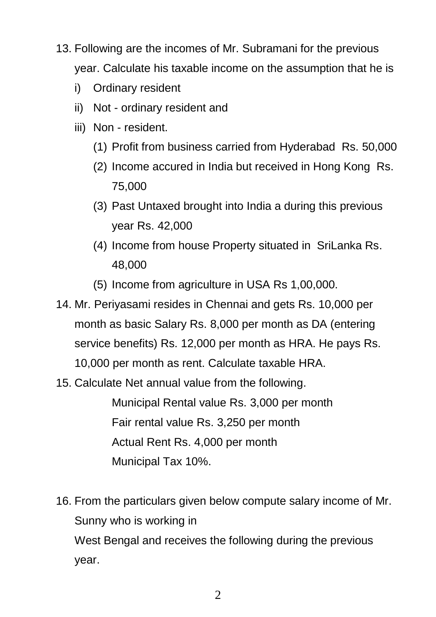- 13. Following are the incomes of Mr. Subramani for the previous year. Calculate his taxable income on the assumption that he is
	- i) Ordinary resident
	- ii) Not ordinary resident and
	- iii) Non resident.
		- (1) Profit from business carried from Hyderabad Rs. 50,000
		- (2) Income accured in India but received in Hong Kong Rs. 75,000
		- (3) Past Untaxed brought into India a during this previous year Rs. 42,000
		- (4) Income from house Property situated in SriLanka Rs. 48,000
		- (5) Income from agriculture in USA Rs 1,00,000.
- 14. Mr. Periyasami resides in Chennai and gets Rs. 10,000 per month as basic Salary Rs. 8,000 per month as DA (entering service benefits) Rs. 12,000 per month as HRA. He pays Rs. 10,000 per month as rent. Calculate taxable HRA.
- 15. Calculate Net annual value from the following.

Municipal Rental value Rs. 3,000 per month Fair rental value Rs. 3,250 per month Actual Rent Rs. 4,000 per month Municipal Tax 10%.

16. From the particulars given below compute salary income of Mr. Sunny who is working in West Bengal and receives the following during the previous year.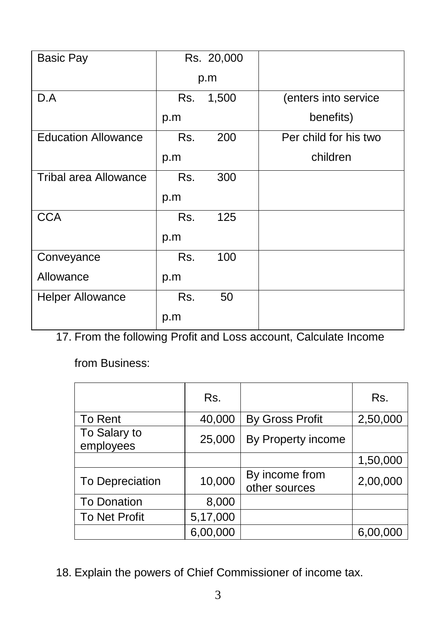| <b>Basic Pay</b>             |     | Rs. 20,000 |                       |
|------------------------------|-----|------------|-----------------------|
|                              | p.m |            |                       |
| D.A                          | Rs. | 1,500      | (enters into service  |
|                              | p.m |            | benefits)             |
| <b>Education Allowance</b>   | Rs. | 200        | Per child for his two |
|                              | p.m |            | children              |
| <b>Tribal area Allowance</b> | Rs. | 300        |                       |
|                              | p.m |            |                       |
| <b>CCA</b>                   | Rs. | 125        |                       |
|                              | p.m |            |                       |
| Conveyance                   | Rs. | 100        |                       |
| Allowance                    | p.m |            |                       |
| <b>Helper Allowance</b>      | Rs. | 50         |                       |
|                              | p.m |            |                       |

17. From the following Profit and Loss account, Calculate Income

from Business:

|                           | Rs.      |                                 | Rs.      |
|---------------------------|----------|---------------------------------|----------|
| To Rent                   | 40,000   | <b>By Gross Profit</b>          | 2,50,000 |
| To Salary to<br>employees | 25,000   | By Property income              |          |
|                           |          |                                 | 1,50,000 |
| To Depreciation           | 10,000   | By income from<br>other sources | 2,00,000 |
| <b>To Donation</b>        | 8,000    |                                 |          |
| <b>To Net Profit</b>      | 5,17,000 |                                 |          |
|                           | 6,00,000 |                                 | 6,00,000 |

18. Explain the powers of Chief Commissioner of income tax.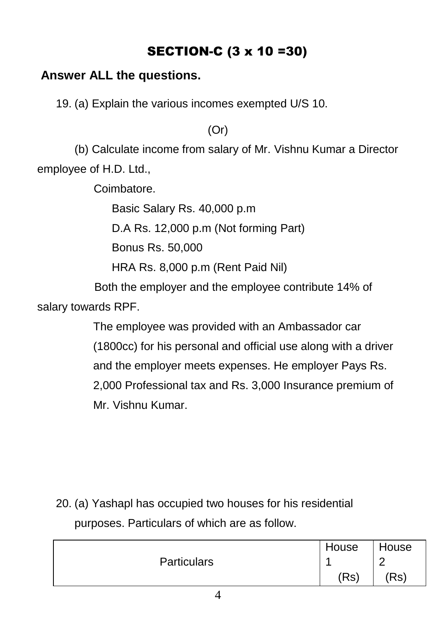## SECTION-C (3 x 10 =30)

### **Answer ALL the questions.**

19. (a) Explain the various incomes exempted U/S 10.

(Or)

(b) Calculate income from salary of Mr. Vishnu Kumar a Director employee of H.D. Ltd.,

Coimbatore.

Basic Salary Rs. 40,000 p.m

D.A Rs. 12,000 p.m (Not forming Part)

Bonus Rs. 50,000

HRA Rs. 8,000 p.m (Rent Paid Nil)

 Both the employer and the employee contribute 14% of salary towards RPF.

> The employee was provided with an Ambassador car (1800cc) for his personal and official use along with a driver and the employer meets expenses. He employer Pays Rs. 2,000 Professional tax and Rs. 3,000 Insurance premium of Mr. Vishnu Kumar.

20. (a) Yashapl has occupied two houses for his residential purposes. Particulars of which are as follow.

|                    | House | House |
|--------------------|-------|-------|
| <b>Particulars</b> |       | ╭     |
|                    | (Rs)  | (Rs)  |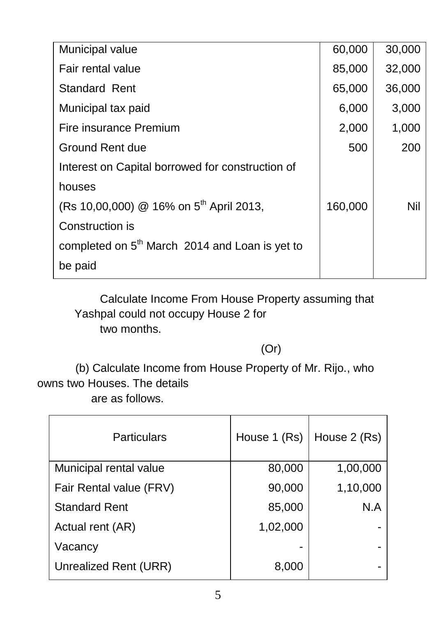| Municipal value                                            | 60,000  | 30,000 |
|------------------------------------------------------------|---------|--------|
| Fair rental value                                          | 85,000  | 32,000 |
| Standard Rent                                              | 65,000  | 36,000 |
| Municipal tax paid                                         | 6,000   | 3,000  |
| Fire insurance Premium                                     | 2,000   | 1,000  |
| Ground Rent due                                            | 500     | 200    |
| Interest on Capital borrowed for construction of           |         |        |
| houses                                                     |         |        |
| (Rs 10,00,000) @ 16% on 5 <sup>th</sup> April 2013,        | 160,000 | Nil    |
| Construction is                                            |         |        |
| completed on 5 <sup>th</sup> March 2014 and Loan is yet to |         |        |
| be paid                                                    |         |        |
|                                                            |         |        |

 Calculate Income From House Property assuming that Yashpal could not occupy House 2 for two months.

### (Or)

 (b) Calculate Income from House Property of Mr. Rijo., who owns two Houses. The details are as follows.

| <b>Particulars</b>      | House 1 (Rs) | House 2 (Rs) |
|-------------------------|--------------|--------------|
| Municipal rental value  | 80,000       | 1,00,000     |
| Fair Rental value (FRV) | 90,000       | 1,10,000     |
| <b>Standard Rent</b>    | 85,000       | N.A          |
| Actual rent (AR)        | 1,02,000     |              |
| Vacancy                 |              |              |
| Unrealized Rent (URR)   | 8,000        |              |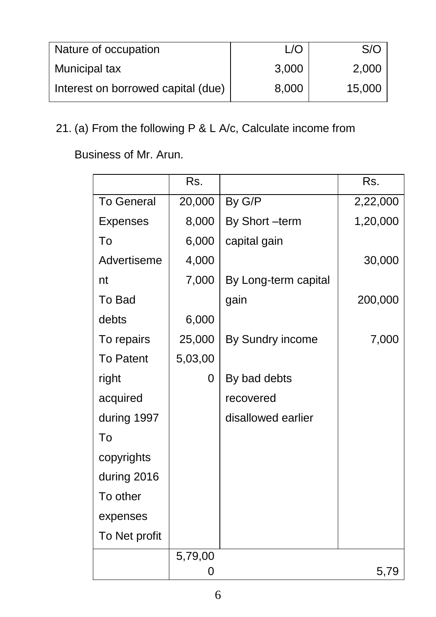| Nature of occupation               |       | S/O    |
|------------------------------------|-------|--------|
| Municipal tax                      | 3,000 | 2,000  |
| Interest on borrowed capital (due) | 8,000 | 15,000 |

# 21. (a) From the following P & L A/c, Calculate income from

Business of Mr. Arun.

|                   | Rs.     |                      | Rs.      |
|-------------------|---------|----------------------|----------|
| <b>To General</b> | 20,000  | By G/P               | 2,22,000 |
| <b>Expenses</b>   | 8,000   | By Short-term        | 1,20,000 |
| To                | 6,000   | capital gain         |          |
| Advertiseme       | 4,000   |                      | 30,000   |
| nt                | 7,000   | By Long-term capital |          |
| To Bad            |         | gain                 | 200,000  |
| debts             | 6,000   |                      |          |
| To repairs        | 25,000  | By Sundry income     | 7,000    |
| <b>To Patent</b>  | 5,03,00 |                      |          |
| right             | 0       | By bad debts         |          |
| acquired          |         | recovered            |          |
| during 1997       |         | disallowed earlier   |          |
| To                |         |                      |          |
| copyrights        |         |                      |          |
| during 2016       |         |                      |          |
| To other          |         |                      |          |
| expenses          |         |                      |          |
| To Net profit     |         |                      |          |
|                   | 5,79,00 |                      |          |
|                   | 0       |                      | 5,79     |